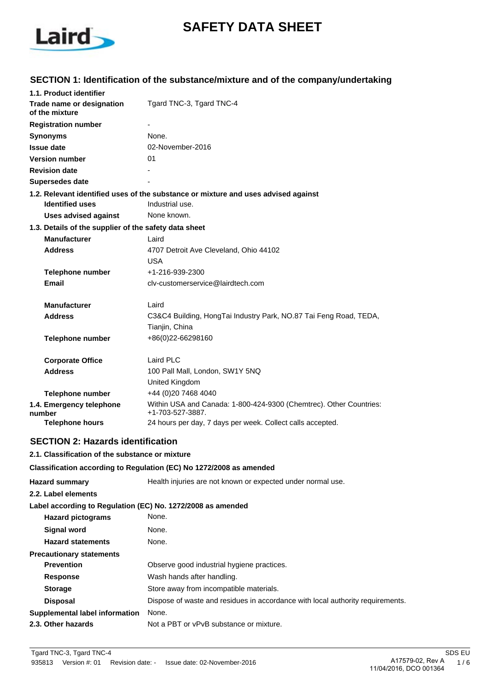

# **SAFETY DATA SHEET**

# **SECTION 1: Identification of the substance/mixture and of the company/undertaking**

|                                                       | 1.1. Product identifier     |                                                                                        |
|-------------------------------------------------------|-----------------------------|----------------------------------------------------------------------------------------|
| Trade name or designation<br>of the mixture           |                             | Tgard TNC-3, Tgard TNC-4                                                               |
|                                                       | <b>Registration number</b>  |                                                                                        |
| <b>Synonyms</b>                                       |                             | None.                                                                                  |
| <b>Issue date</b>                                     |                             | 02-November-2016                                                                       |
|                                                       | <b>Version number</b>       | 01                                                                                     |
| <b>Revision date</b>                                  |                             |                                                                                        |
| Supersedes date                                       |                             |                                                                                        |
|                                                       |                             | 1.2. Relevant identified uses of the substance or mixture and uses advised against     |
|                                                       | <b>Identified uses</b>      | Industrial use.                                                                        |
|                                                       | <b>Uses advised against</b> | None known.                                                                            |
| 1.3. Details of the supplier of the safety data sheet |                             |                                                                                        |
|                                                       | <b>Manufacturer</b>         | Laird                                                                                  |
|                                                       | <b>Address</b>              | 4707 Detroit Ave Cleveland, Ohio 44102                                                 |
|                                                       |                             | USA                                                                                    |
|                                                       | <b>Telephone number</b>     | +1-216-939-2300                                                                        |
|                                                       | Email                       | cly-customerservice@lairdtech.com                                                      |
|                                                       | <b>Manufacturer</b>         | Laird                                                                                  |
|                                                       | <b>Address</b>              | C3&C4 Building, HongTai Industry Park, NO.87 Tai Feng Road, TEDA,                      |
|                                                       |                             | Tianjin, China                                                                         |
|                                                       | <b>Telephone number</b>     | +86(0)22-66298160                                                                      |
|                                                       | <b>Corporate Office</b>     | Laird PLC                                                                              |
|                                                       | <b>Address</b>              | 100 Pall Mall, London, SW1Y 5NQ                                                        |
|                                                       |                             | United Kingdom                                                                         |
|                                                       | <b>Telephone number</b>     | +44 (0)20 7468 4040                                                                    |
| number                                                | 1.4. Emergency telephone    | Within USA and Canada: 1-800-424-9300 (Chemtrec). Other Countries:<br>+1-703-527-3887. |
|                                                       | <b>Telephone hours</b>      | 24 hours per day, 7 days per week. Collect calls accepted.                             |

# **SECTION 2: Hazards identification**

### **2.1. Classification of the substance or mixture**

#### **Classification according to Regulation (EC) No 1272/2008 as amended**

| <b>Hazard summary</b>                                       | Health injuries are not known or expected under normal use.                    |
|-------------------------------------------------------------|--------------------------------------------------------------------------------|
| 2.2. Label elements                                         |                                                                                |
| Label according to Regulation (EC) No. 1272/2008 as amended |                                                                                |
| <b>Hazard pictograms</b>                                    | None.                                                                          |
| <b>Signal word</b>                                          | None.                                                                          |
| <b>Hazard statements</b>                                    | None.                                                                          |
| <b>Precautionary statements</b>                             |                                                                                |
| <b>Prevention</b>                                           | Observe good industrial hygiene practices.                                     |
| <b>Response</b>                                             | Wash hands after handling.                                                     |
| <b>Storage</b>                                              | Store away from incompatible materials.                                        |
| <b>Disposal</b>                                             | Dispose of waste and residues in accordance with local authority requirements. |
| Supplemental label information                              | None.                                                                          |
| 2.3. Other hazards                                          | Not a PBT or vPvB substance or mixture.                                        |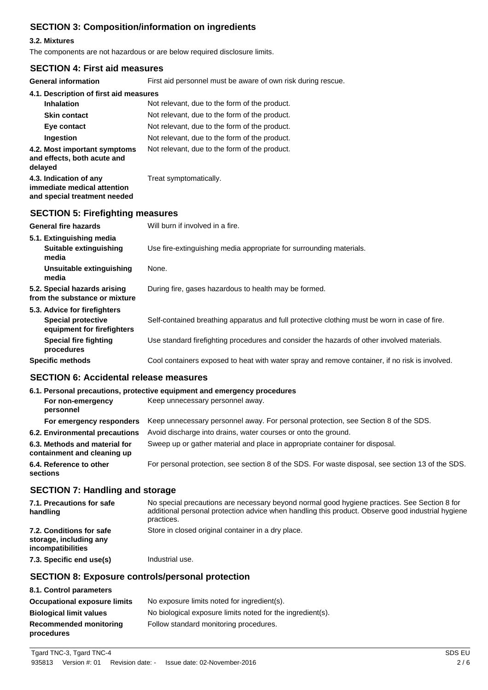# **SECTION 3: Composition/information on ingredients**

### **3.2. Mixtures**

The components are not hazardous or are below required disclosure limits.

### **SECTION 4: First aid measures**

| <b>General information</b>                                                            | First aid personnel must be aware of own risk during rescue.                                   |  |
|---------------------------------------------------------------------------------------|------------------------------------------------------------------------------------------------|--|
| 4.1. Description of first aid measures                                                |                                                                                                |  |
| <b>Inhalation</b>                                                                     | Not relevant, due to the form of the product.                                                  |  |
| <b>Skin contact</b>                                                                   | Not relevant, due to the form of the product.                                                  |  |
| Eye contact                                                                           | Not relevant, due to the form of the product.                                                  |  |
| Ingestion                                                                             | Not relevant, due to the form of the product.                                                  |  |
| 4.2. Most important symptoms<br>and effects, both acute and<br>delayed                | Not relevant, due to the form of the product.                                                  |  |
| 4.3. Indication of any<br>immediate medical attention<br>and special treatment needed | Treat symptomatically.                                                                         |  |
| <b>SECTION 5: Firefighting measures</b>                                               |                                                                                                |  |
| <b>General fire hazards</b>                                                           | Will burn if involved in a fire.                                                               |  |
| 5.1. Extinguishing media                                                              |                                                                                                |  |
| Suitable extinguishing<br>media                                                       | Use fire-extinguishing media appropriate for surrounding materials.                            |  |
| <b>Unsuitable extinguishing</b><br>media                                              | None.                                                                                          |  |
| 5.2. Special hazards arising<br>from the substance or mixture                         | During fire, gases hazardous to health may be formed.                                          |  |
| 5.3. Advice for firefighters                                                          |                                                                                                |  |
| <b>Special protective</b><br>equipment for firefighters                               | Self-contained breathing apparatus and full protective clothing must be worn in case of fire.  |  |
| <b>Special fire fighting</b><br>procedures                                            | Use standard firefighting procedures and consider the hazards of other involved materials.     |  |
| <b>Specific methods</b>                                                               | Cool containers exposed to heat with water spray and remove container, if no risk is involved. |  |

## **SECTION 6: Accidental release measures**

|                                                              | 6.1. Personal precautions, protective equipment and emergency procedures                          |
|--------------------------------------------------------------|---------------------------------------------------------------------------------------------------|
| For non-emergency<br>personnel                               | Keep unnecessary personnel away.                                                                  |
| For emergency responders                                     | Keep unnecessary personnel away. For personal protection, see Section 8 of the SDS.               |
| 6.2. Environmental precautions                               | Avoid discharge into drains, water courses or onto the ground.                                    |
| 6.3. Methods and material for<br>containment and cleaning up | Sweep up or gather material and place in appropriate container for disposal.                      |
| 6.4. Reference to other<br>sections                          | For personal protection, see section 8 of the SDS. For waste disposal, see section 13 of the SDS. |

# **SECTION 7: Handling and storage**

| 7.1. Precautions for safe<br>handling                                          | No special precautions are necessary beyond normal good hygiene practices. See Section 8 for<br>additional personal protection advice when handling this product. Observe good industrial hygiene<br>practices. |
|--------------------------------------------------------------------------------|-----------------------------------------------------------------------------------------------------------------------------------------------------------------------------------------------------------------|
| 7.2. Conditions for safe<br>storage, including any<br><i>incompatibilities</i> | Store in closed original container in a dry place.                                                                                                                                                              |
| 7.3. Specific end use(s)                                                       | Industrial use.                                                                                                                                                                                                 |

### **SECTION 8: Exposure controls/personal protection**

| 8.1. Control parameters                     |                                                            |
|---------------------------------------------|------------------------------------------------------------|
| <b>Occupational exposure limits</b>         | No exposure limits noted for ingredient(s).                |
| <b>Biological limit values</b>              | No biological exposure limits noted for the ingredient(s). |
| <b>Recommended monitoring</b><br>procedures | Follow standard monitoring procedures.                     |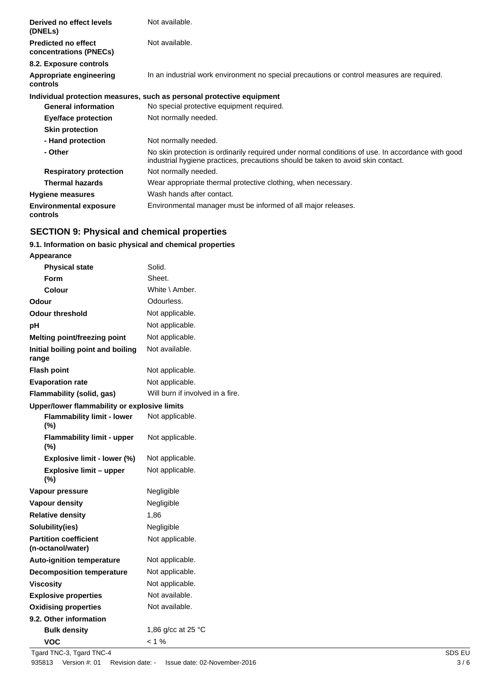| Derived no effect levels<br>(DNELS)                  | Not available.                                                                                                                                                                        |
|------------------------------------------------------|---------------------------------------------------------------------------------------------------------------------------------------------------------------------------------------|
| <b>Predicted no effect</b><br>concentrations (PNECs) | Not available.                                                                                                                                                                        |
| 8.2. Exposure controls                               |                                                                                                                                                                                       |
| Appropriate engineering<br>controls                  | In an industrial work environment no special precautions or control measures are required.                                                                                            |
|                                                      | Individual protection measures, such as personal protective equipment                                                                                                                 |
| <b>General information</b>                           | No special protective equipment required.                                                                                                                                             |
| Eye/face protection                                  | Not normally needed.                                                                                                                                                                  |
| <b>Skin protection</b>                               |                                                                                                                                                                                       |
| - Hand protection                                    | Not normally needed.                                                                                                                                                                  |
| - Other                                              | No skin protection is ordinarily required under normal conditions of use. In accordance with good<br>industrial hygiene practices, precautions should be taken to avoid skin contact. |
| <b>Respiratory protection</b>                        | Not normally needed.                                                                                                                                                                  |
| <b>Thermal hazards</b>                               | Wear appropriate thermal protective clothing, when necessary.                                                                                                                         |
| <b>Hygiene measures</b>                              | Wash hands after contact.                                                                                                                                                             |
| <b>Environmental exposure</b><br>controls            | Environmental manager must be informed of all major releases.                                                                                                                         |

# **SECTION 9: Physical and chemical properties**

### **9.1. Information on basic physical and chemical properties**

| Appearance                                        |                                  |
|---------------------------------------------------|----------------------------------|
| <b>Physical state</b>                             | Solid.                           |
| Form                                              | Sheet.                           |
| Colour                                            | White \ Amber.                   |
| Odour                                             | Odourless.                       |
| <b>Odour threshold</b>                            | Not applicable.                  |
| рH                                                | Not applicable.                  |
| <b>Melting point/freezing point</b>               | Not applicable.                  |
| Initial boiling point and boiling<br>range        | Not available.                   |
| <b>Flash point</b>                                | Not applicable.                  |
| <b>Evaporation rate</b>                           | Not applicable.                  |
| Flammability (solid, gas)                         | Will burn if involved in a fire. |
| Upper/lower flammability or explosive limits      |                                  |
| <b>Flammability limit - lower</b><br>(%)          | Not applicable.                  |
| <b>Flammability limit - upper</b><br>$(\% )$      | Not applicable.                  |
| Explosive limit - lower (%)                       | Not applicable.                  |
| <b>Explosive limit - upper</b><br>$(\%)$          | Not applicable.                  |
| Vapour pressure                                   | Negligible                       |
| <b>Vapour density</b>                             | Negligible                       |
| <b>Relative density</b>                           | 1,86                             |
| Solubility(ies)                                   | Negligible                       |
| <b>Partition coefficient</b><br>(n-octanol/water) | Not applicable.                  |
| <b>Auto-ignition temperature</b>                  | Not applicable.                  |
| <b>Decomposition temperature</b>                  | Not applicable.                  |
| <b>Viscosity</b>                                  | Not applicable.                  |
| <b>Explosive properties</b>                       | Not available.                   |
| <b>Oxidising properties</b>                       | Not available.                   |
| 9.2. Other information                            |                                  |
| <b>Bulk density</b>                               | 1,86 g/cc at 25 °C               |
| VOC                                               | $< 1 \%$                         |

Tgard TNC-3, Tgard TNC-4 SDS EU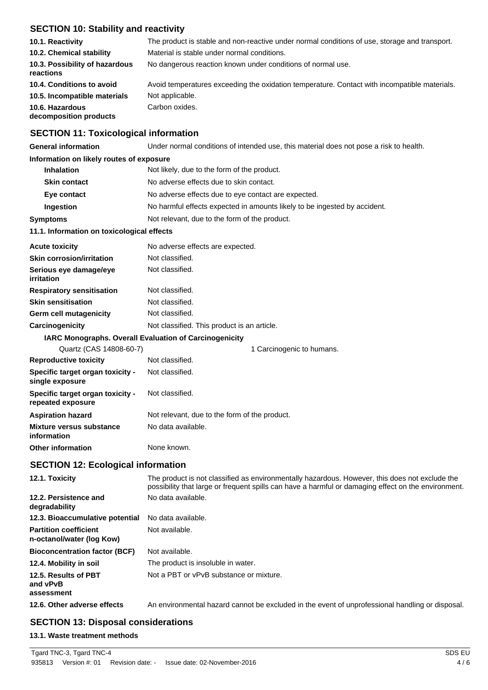# **SECTION 10: Stability and reactivity**

| 10.1. Reactivity                            | The product is stable and non-reactive under normal conditions of use, storage and transport. |
|---------------------------------------------|-----------------------------------------------------------------------------------------------|
| 10.2. Chemical stability                    | Material is stable under normal conditions.                                                   |
| 10.3. Possibility of hazardous<br>reactions | No dangerous reaction known under conditions of normal use.                                   |
| 10.4. Conditions to avoid                   | Avoid temperatures exceeding the oxidation temperature. Contact with incompatible materials.  |
| 10.5. Incompatible materials                | Not applicable.                                                                               |
| 10.6. Hazardous<br>decomposition products   | Carbon oxides.                                                                                |

# **SECTION 11: Toxicological information**

| <b>General information</b>                                | Under normal conditions of intended use, this material does not pose a risk to health.                                                                                                                |  |
|-----------------------------------------------------------|-------------------------------------------------------------------------------------------------------------------------------------------------------------------------------------------------------|--|
| Information on likely routes of exposure                  |                                                                                                                                                                                                       |  |
| <b>Inhalation</b>                                         | Not likely, due to the form of the product.                                                                                                                                                           |  |
| <b>Skin contact</b>                                       | No adverse effects due to skin contact.                                                                                                                                                               |  |
| Eye contact                                               | No adverse effects due to eye contact are expected.                                                                                                                                                   |  |
| Ingestion                                                 | No harmful effects expected in amounts likely to be ingested by accident.                                                                                                                             |  |
| <b>Symptoms</b>                                           | Not relevant, due to the form of the product.                                                                                                                                                         |  |
| 11.1. Information on toxicological effects                |                                                                                                                                                                                                       |  |
| <b>Acute toxicity</b>                                     | No adverse effects are expected.                                                                                                                                                                      |  |
| <b>Skin corrosion/irritation</b>                          | Not classified.                                                                                                                                                                                       |  |
| Serious eye damage/eye<br>irritation                      | Not classified.                                                                                                                                                                                       |  |
| <b>Respiratory sensitisation</b>                          | Not classified.                                                                                                                                                                                       |  |
| <b>Skin sensitisation</b>                                 | Not classified.                                                                                                                                                                                       |  |
| Germ cell mutagenicity                                    | Not classified.                                                                                                                                                                                       |  |
| Carcinogenicity                                           | Not classified. This product is an article.                                                                                                                                                           |  |
| IARC Monographs. Overall Evaluation of Carcinogenicity    |                                                                                                                                                                                                       |  |
| Quartz (CAS 14808-60-7)                                   | 1 Carcinogenic to humans.                                                                                                                                                                             |  |
| <b>Reproductive toxicity</b>                              | Not classified.                                                                                                                                                                                       |  |
| Specific target organ toxicity -<br>single exposure       | Not classified.                                                                                                                                                                                       |  |
| Specific target organ toxicity -<br>repeated exposure     | Not classified.                                                                                                                                                                                       |  |
| <b>Aspiration hazard</b>                                  | Not relevant, due to the form of the product.                                                                                                                                                         |  |
| <b>Mixture versus substance</b><br>information            | No data available.                                                                                                                                                                                    |  |
| <b>Other information</b>                                  | None known.                                                                                                                                                                                           |  |
| <b>SECTION 12: Ecological information</b>                 |                                                                                                                                                                                                       |  |
| 12.1. Toxicity                                            | The product is not classified as environmentally hazardous. However, this does not exclude the<br>possibility that large or frequent spills can have a harmful or damaging effect on the environment. |  |
| 12.2. Persistence and<br>degradability                    | No data available.                                                                                                                                                                                    |  |
| 12.3. Bioaccumulative potential                           | No data available.                                                                                                                                                                                    |  |
| <b>Partition coefficient</b><br>n-octanol/water (log Kow) | Not available.                                                                                                                                                                                        |  |
| <b>Bioconcentration factor (BCF)</b>                      | Not available.                                                                                                                                                                                        |  |
| 12.4. Mobility in soil                                    | The product is insoluble in water.                                                                                                                                                                    |  |
| 12.5. Results of PBT<br>and vPvB                          | Not a PBT or vPvB substance or mixture.                                                                                                                                                               |  |

### **SECTION 13: Disposal considerations**

#### **13.1. Waste treatment methods**

**assessment**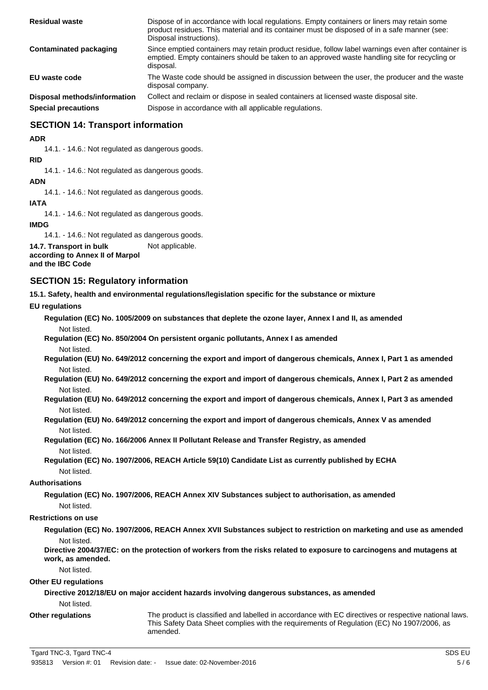| <b>Residual waste</b>        | Dispose of in accordance with local regulations. Empty containers or liners may retain some<br>product residues. This material and its container must be disposed of in a safe manner (see:<br>Disposal instructions). |
|------------------------------|------------------------------------------------------------------------------------------------------------------------------------------------------------------------------------------------------------------------|
| Contaminated packaging       | Since emptied containers may retain product residue, follow label warnings even after container is<br>emptied. Empty containers should be taken to an approved waste handling site for recycling or<br>disposal.       |
| EU waste code                | The Waste code should be assigned in discussion between the user, the producer and the waste<br>disposal company.                                                                                                      |
| Disposal methods/information | Collect and reclaim or dispose in sealed containers at licensed waste disposal site.                                                                                                                                   |
| <b>Special precautions</b>   | Dispose in accordance with all applicable regulations.                                                                                                                                                                 |

### **SECTION 14: Transport information**

**ADR**

14.1. - 14.6.: Not regulated as dangerous goods.

**RID**

14.1. - 14.6.: Not regulated as dangerous goods.

**ADN**

14.1. - 14.6.: Not regulated as dangerous goods.

**IATA**

14.1. - 14.6.: Not regulated as dangerous goods.

**IMDG**

14.1. - 14.6.: Not regulated as dangerous goods.

**14.7. Transport in bulk** Not applicable.

**according to Annex II of Marpol and the IBC Code**

### **SECTION 15: Regulatory information**

**15.1. Safety, health and environmental regulations/legislation specific for the substance or mixture**

#### **EU regulations**

**Regulation (EC) No. 1005/2009 on substances that deplete the ozone layer, Annex I and II, as amended** Not listed.

**Regulation (EC) No. 850/2004 On persistent organic pollutants, Annex I as amended** Not listed.

**Regulation (EU) No. 649/2012 concerning the export and import of dangerous chemicals, Annex I, Part 1 as amended** Not listed.

**Regulation (EU) No. 649/2012 concerning the export and import of dangerous chemicals, Annex I, Part 2 as amended** Not listed.

**Regulation (EU) No. 649/2012 concerning the export and import of dangerous chemicals, Annex I, Part 3 as amended** Not listed.

**Regulation (EU) No. 649/2012 concerning the export and import of dangerous chemicals, Annex V as amended** Not listed.

**Regulation (EC) No. 166/2006 Annex II Pollutant Release and Transfer Registry, as amended** Not listed.

**Regulation (EC) No. 1907/2006, REACH Article 59(10) Candidate List as currently published by ECHA** Not listed.

#### **Authorisations**

**Regulation (EC) No. 1907/2006, REACH Annex XIV Substances subject to authorisation, as amended** Not listed.

#### **Restrictions on use**

**Regulation (EC) No. 1907/2006, REACH Annex XVII Substances subject to restriction on marketing and use as amended** Not listed.

**Directive 2004/37/EC: on the protection of workers from the risks related to exposure to carcinogens and mutagens at work, as amended.**

Not listed.

#### **Other EU regulations**

**Directive 2012/18/EU on major accident hazards involving dangerous substances, as amended** Not listed.

#### **Other regulations**

The product is classified and labelled in accordance with EC directives or respective national laws. This Safety Data Sheet complies with the requirements of Regulation (EC) No 1907/2006, as amended.